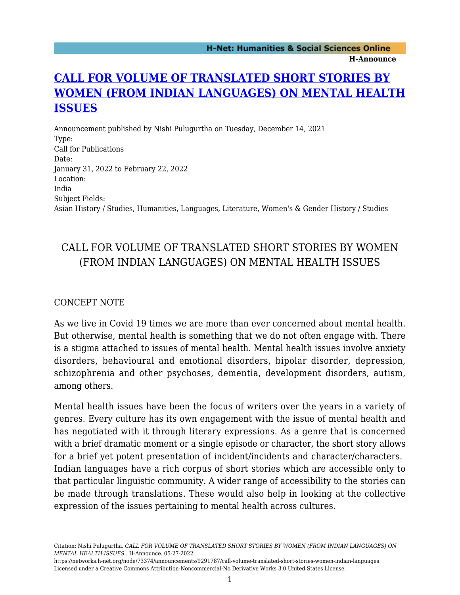## **[CALL FOR VOLUME OF TRANSLATED SHORT STORIES BY](https://networks.h-net.org/node/73374/announcements/9291787/call-volume-translated-short-stories-women-indian-languages) [WOMEN \(FROM INDIAN LANGUAGES\) ON MENTAL HEALTH](https://networks.h-net.org/node/73374/announcements/9291787/call-volume-translated-short-stories-women-indian-languages) [ISSUES](https://networks.h-net.org/node/73374/announcements/9291787/call-volume-translated-short-stories-women-indian-languages)**

Announcement published by Nishi Pulugurtha on Tuesday, December 14, 2021 Type: Call for Publications Date: January 31, 2022 to February 22, 2022 Location: India Subject Fields: Asian History / Studies, Humanities, Languages, Literature, Women's & Gender History / Studies

## CALL FOR VOLUME OF TRANSLATED SHORT STORIES BY WOMEN (FROM INDIAN LANGUAGES) ON MENTAL HEALTH ISSUES

## CONCEPT NOTE

As we live in Covid 19 times we are more than ever concerned about mental health. But otherwise, mental health is something that we do not often engage with. There is a stigma attached to issues of mental health. Mental health issues involve anxiety disorders, behavioural and emotional disorders, bipolar disorder, depression, schizophrenia and other psychoses, dementia, development disorders, autism, among others.

Mental health issues have been the focus of writers over the years in a variety of genres. Every culture has its own engagement with the issue of mental health and has negotiated with it through literary expressions. As a genre that is concerned with a brief dramatic moment or a single episode or character, the short story allows for a brief yet potent presentation of incident/incidents and character/characters. Indian languages have a rich corpus of short stories which are accessible only to that particular linguistic community. A wider range of accessibility to the stories can be made through translations. These would also help in looking at the collective expression of the issues pertaining to mental health across cultures.